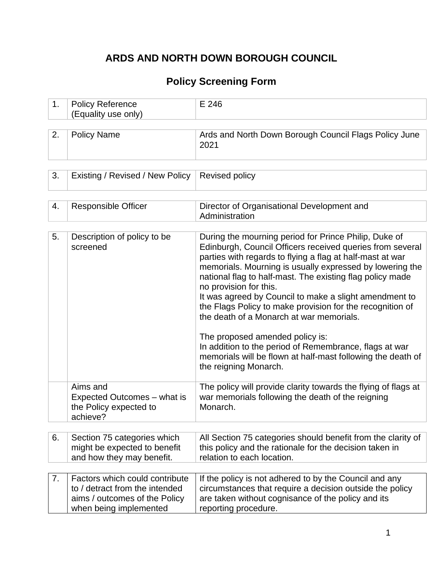# **ARDS AND NORTH DOWN BOROUGH COUNCIL**

## **Policy Screening Form**

| ≗Policy Reference   | 246 |
|---------------------|-----|
| (Equality use only) |     |

|  | Policy Name | Ards and North Down Borough Council Flags Policy June<br>2021 |
|--|-------------|---------------------------------------------------------------|
|--|-------------|---------------------------------------------------------------|

| 3. Existing / Revised / New Policy   Revised policy |  |
|-----------------------------------------------------|--|
|                                                     |  |

| 4. | <b>Responsible Officer</b>                                                                                                  | Director of Organisational Development and<br>Administration                                                                                                                                                                                                                                                                                                                                                                                                                                          |
|----|-----------------------------------------------------------------------------------------------------------------------------|-------------------------------------------------------------------------------------------------------------------------------------------------------------------------------------------------------------------------------------------------------------------------------------------------------------------------------------------------------------------------------------------------------------------------------------------------------------------------------------------------------|
|    |                                                                                                                             |                                                                                                                                                                                                                                                                                                                                                                                                                                                                                                       |
| 5. | Description of policy to be<br>screened                                                                                     | During the mourning period for Prince Philip, Duke of<br>Edinburgh, Council Officers received queries from several<br>parties with regards to flying a flag at half-mast at war<br>memorials. Mourning is usually expressed by lowering the<br>national flag to half-mast. The existing flag policy made<br>no provision for this.<br>It was agreed by Council to make a slight amendment to<br>the Flags Policy to make provision for the recognition of<br>the death of a Monarch at war memorials. |
|    |                                                                                                                             | The proposed amended policy is:<br>In addition to the period of Remembrance, flags at war<br>memorials will be flown at half-mast following the death of<br>the reigning Monarch.                                                                                                                                                                                                                                                                                                                     |
|    | Aims and<br>Expected Outcomes – what is<br>the Policy expected to<br>achieve?                                               | The policy will provide clarity towards the flying of flags at<br>war memorials following the death of the reigning<br>Monarch.                                                                                                                                                                                                                                                                                                                                                                       |
|    |                                                                                                                             |                                                                                                                                                                                                                                                                                                                                                                                                                                                                                                       |
| 6. | Section 75 categories which<br>might be expected to benefit<br>and how they may benefit.                                    | All Section 75 categories should benefit from the clarity of<br>this policy and the rationale for the decision taken in<br>relation to each location.                                                                                                                                                                                                                                                                                                                                                 |
| 7. | Factors which could contribute<br>to / detract from the intended<br>aims / outcomes of the Policy<br>when being implemented | If the policy is not adhered to by the Council and any<br>circumstances that require a decision outside the policy<br>are taken without cognisance of the policy and its<br>reporting procedure.                                                                                                                                                                                                                                                                                                      |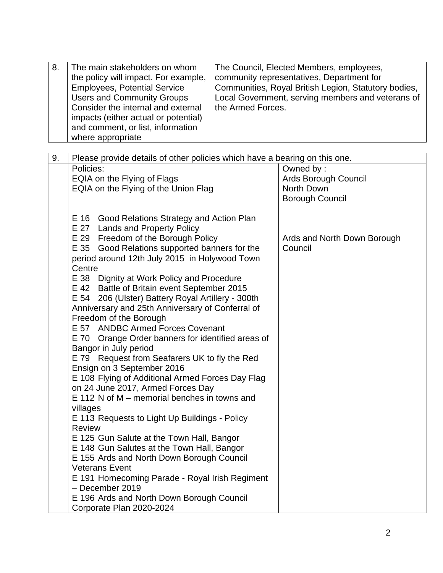| 8. | The main stakeholders on whom<br>the policy will impact. For example,<br><b>Employees, Potential Service</b><br><b>Users and Community Groups</b><br>Consider the internal and external | The Council, Elected Members, employees,<br>community representatives, Department for<br>Communities, Royal British Legion, Statutory bodies,<br>Local Government, serving members and veterans of<br>the Armed Forces. |
|----|-----------------------------------------------------------------------------------------------------------------------------------------------------------------------------------------|-------------------------------------------------------------------------------------------------------------------------------------------------------------------------------------------------------------------------|
|    | impacts (either actual or potential)                                                                                                                                                    |                                                                                                                                                                                                                         |
|    | and comment, or list, information<br>where appropriate                                                                                                                                  |                                                                                                                                                                                                                         |

| 9. | Please provide details of other policies which have a bearing on this one. |                             |
|----|----------------------------------------------------------------------------|-----------------------------|
|    | Policies:                                                                  | Owned by:                   |
|    | EQIA on the Flying of Flags                                                | Ards Borough Council        |
|    | EQIA on the Flying of the Union Flag                                       | North Down                  |
|    |                                                                            | <b>Borough Council</b>      |
|    |                                                                            |                             |
|    | E 16 Good Relations Strategy and Action Plan                               |                             |
|    | E 27 Lands and Property Policy                                             |                             |
|    | E 29 Freedom of the Borough Policy                                         | Ards and North Down Borough |
|    | E 35 Good Relations supported banners for the                              | Council                     |
|    | period around 12th July 2015 in Holywood Town                              |                             |
|    | Centre                                                                     |                             |
|    | E 38 Dignity at Work Policy and Procedure                                  |                             |
|    | E 42 Battle of Britain event September 2015                                |                             |
|    | E 54 206 (Ulster) Battery Royal Artillery - 300th                          |                             |
|    | Anniversary and 25th Anniversary of Conferral of                           |                             |
|    | Freedom of the Borough                                                     |                             |
|    | E 57 ANDBC Armed Forces Covenant                                           |                             |
|    | E 70 Orange Order banners for identified areas of                          |                             |
|    | Bangor in July period                                                      |                             |
|    | E 79 Request from Seafarers UK to fly the Red                              |                             |
|    | Ensign on 3 September 2016                                                 |                             |
|    | E 108 Flying of Additional Armed Forces Day Flag                           |                             |
|    | on 24 June 2017, Armed Forces Day                                          |                             |
|    | E 112 N of M – memorial benches in towns and                               |                             |
|    | villages                                                                   |                             |
|    | E 113 Requests to Light Up Buildings - Policy                              |                             |
|    | <b>Review</b>                                                              |                             |
|    | E 125 Gun Salute at the Town Hall, Bangor                                  |                             |
|    | E 148 Gun Salutes at the Town Hall, Bangor                                 |                             |
|    | E 155 Ards and North Down Borough Council                                  |                             |
|    | <b>Veterans Event</b>                                                      |                             |
|    | E 191 Homecoming Parade - Royal Irish Regiment                             |                             |
|    | - December 2019                                                            |                             |
|    | E 196 Ards and North Down Borough Council                                  |                             |
|    | Corporate Plan 2020-2024                                                   |                             |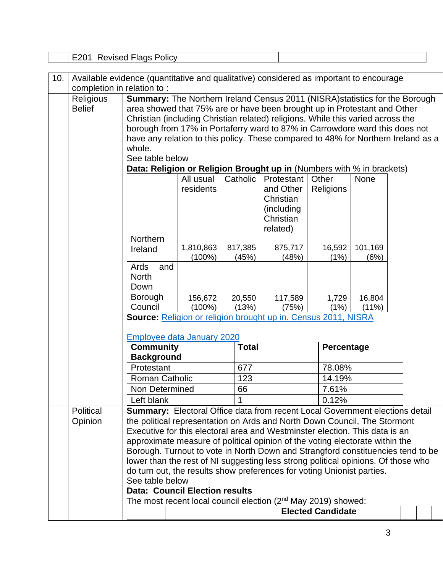|     |                                   | E201 Revised Flags Policy                                                                                                                                                                                                                                                                                                                                                                                                                                                                                                    |                        |                  |                                                                              |                          |                 |  |
|-----|-----------------------------------|------------------------------------------------------------------------------------------------------------------------------------------------------------------------------------------------------------------------------------------------------------------------------------------------------------------------------------------------------------------------------------------------------------------------------------------------------------------------------------------------------------------------------|------------------------|------------------|------------------------------------------------------------------------------|--------------------------|-----------------|--|
| 10. | completion in relation to:        | Available evidence (quantitative and qualitative) considered as important to encourage                                                                                                                                                                                                                                                                                                                                                                                                                                       |                        |                  |                                                                              |                          |                 |  |
|     | <b>Religious</b><br><b>Belief</b> | <b>Summary:</b> The Northern Ireland Census 2011 (NISRA) statistics for the Borough<br>area showed that 75% are or have been brought up in Protestant and Other<br>Christian (including Christian related) religions. While this varied across the<br>borough from 17% in Portaferry ward to 87% in Carrowdore ward this does not<br>have any relation to this policy. These compared to 48% for Northern Ireland as a<br>whole.<br>See table below<br>Data: Religion or Religion Brought up in (Numbers with % in brackets) |                        |                  |                                                                              |                          |                 |  |
|     |                                   | All usual<br>residents                                                                                                                                                                                                                                                                                                                                                                                                                                                                                                       |                        | Catholic         | Protestant<br>and Other<br>Christian<br>(including)<br>Christian<br>related) | Other<br>Religions       | None            |  |
|     |                                   | <b>Northern</b><br>Ireland                                                                                                                                                                                                                                                                                                                                                                                                                                                                                                   | 1,810,863<br>$(100\%)$ | 817,385<br>(45%) | 875,717<br>(48%)                                                             | 16,592<br>(1%)           | 101,169<br>(6%) |  |
|     |                                   | Ards<br>and<br><b>North</b><br>Down<br><b>Borough</b><br>Council                                                                                                                                                                                                                                                                                                                                                                                                                                                             | 156,672<br>$(100\%)$   | 20,550<br>(13%)  | 117,589<br>(75%)                                                             | 1,729<br>(1%)            | 16,804<br>(11%) |  |
|     |                                   | Source: Religion or religion brought up in. Census 2011, NISRA                                                                                                                                                                                                                                                                                                                                                                                                                                                               |                        |                  |                                                                              |                          |                 |  |
|     |                                   | <b>Employee data January 2020</b><br><b>Community</b><br><b>Background</b>                                                                                                                                                                                                                                                                                                                                                                                                                                                   |                        | <b>Total</b>     |                                                                              | Percentage               |                 |  |
|     |                                   | Protestant                                                                                                                                                                                                                                                                                                                                                                                                                                                                                                                   |                        | 677              |                                                                              | 78.08%                   |                 |  |
|     |                                   | <b>Roman Catholic</b>                                                                                                                                                                                                                                                                                                                                                                                                                                                                                                        |                        | 123              |                                                                              | 14.19%                   |                 |  |
|     |                                   | Non Determined<br>Left blank                                                                                                                                                                                                                                                                                                                                                                                                                                                                                                 |                        | 66               |                                                                              | 7.61%<br>0.12%           |                 |  |
|     | Political                         | <b>Summary:</b> Electoral Office data from recent Local Government elections detail                                                                                                                                                                                                                                                                                                                                                                                                                                          |                        |                  |                                                                              |                          |                 |  |
|     | Opinion                           | the political representation on Ards and North Down Council, The Stormont<br>Executive for this electoral area and Westminster election. This data is an                                                                                                                                                                                                                                                                                                                                                                     |                        |                  |                                                                              |                          |                 |  |
|     |                                   | approximate measure of political opinion of the voting electorate within the                                                                                                                                                                                                                                                                                                                                                                                                                                                 |                        |                  |                                                                              |                          |                 |  |
|     |                                   | Borough. Turnout to vote in North Down and Strangford constituencies tend to be                                                                                                                                                                                                                                                                                                                                                                                                                                              |                        |                  |                                                                              |                          |                 |  |
|     |                                   | lower than the rest of NI suggesting less strong political opinions. Of those who<br>do turn out, the results show preferences for voting Unionist parties.                                                                                                                                                                                                                                                                                                                                                                  |                        |                  |                                                                              |                          |                 |  |
|     |                                   | See table below                                                                                                                                                                                                                                                                                                                                                                                                                                                                                                              |                        |                  |                                                                              |                          |                 |  |
|     |                                   | <b>Data: Council Election results</b>                                                                                                                                                                                                                                                                                                                                                                                                                                                                                        |                        |                  |                                                                              |                          |                 |  |
|     |                                   | The most recent local council election (2 <sup>nd</sup> May 2019) showed:                                                                                                                                                                                                                                                                                                                                                                                                                                                    |                        |                  |                                                                              | <b>Elected Candidate</b> |                 |  |
|     |                                   |                                                                                                                                                                                                                                                                                                                                                                                                                                                                                                                              |                        |                  |                                                                              |                          |                 |  |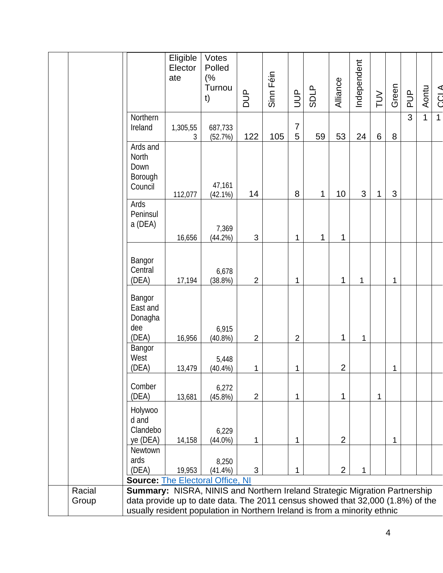|        |                                                                                                                                                             | Eligible<br>Elector<br>ate | Votes<br>Polled<br>(%<br>Turnou |                | Sinn Féin |                     |             |                | Independent |     |       |               |              |              |
|--------|-------------------------------------------------------------------------------------------------------------------------------------------------------------|----------------------------|---------------------------------|----------------|-----------|---------------------|-------------|----------------|-------------|-----|-------|---------------|--------------|--------------|
|        |                                                                                                                                                             |                            | t)                              | DUP            |           | $\exists$           | <b>SDLP</b> | Alliance       |             | TUV | Green | $\frac{p}{q}$ | Aontu        | CCL A        |
|        | Northern                                                                                                                                                    |                            |                                 |                |           |                     |             |                |             |     |       | 3             | $\mathbf{1}$ | $\mathbf{1}$ |
|        | Ireland                                                                                                                                                     | 1,305,55<br>3              | 687,733<br>(52.7%)              | 122            | 105       | $\overline{7}$<br>5 | 59          | 53             | 24          | 6   | 8     |               |              |              |
|        | Ards and<br>North<br>Down<br>Borough<br>Council                                                                                                             |                            | 47,161                          |                |           |                     |             |                |             |     |       |               |              |              |
|        | Ards                                                                                                                                                        | 112,077                    | (42.1%)                         | 14             |           | 8                   | 1           | 10             | 3           | 1   | 3     |               |              |              |
|        | Peninsul<br>a (DEA)                                                                                                                                         |                            | 7,369                           |                |           |                     |             |                |             |     |       |               |              |              |
|        |                                                                                                                                                             | 16,656                     | (44.2%)                         | 3              |           | 1                   | 1           | 1              |             |     |       |               |              |              |
|        | Bangor<br>Central<br>(DEA)                                                                                                                                  | 17,194                     | 6,678<br>(38.8%)                | $\overline{2}$ |           | 1                   |             | 1              | 1           |     | 1     |               |              |              |
|        | Bangor<br>East and<br>Donagha<br>dee<br>(DEA)                                                                                                               | 16,956                     | 6,915<br>(40.8%)                | $\overline{2}$ |           | $\overline{2}$      |             | 1              | 1           |     |       |               |              |              |
|        | Bangor<br>West<br>(DEA)                                                                                                                                     | 13,479                     | 5,448<br>$(40.4\%)$             | 1              |           | 1                   |             | $\overline{2}$ |             |     | 1     |               |              |              |
|        | Comber<br>(DEA)                                                                                                                                             | 13,681                     | 6,272<br>$(45.8\%)$             | $\overline{2}$ |           | $\mathbf{1}$        |             | 1              |             | 1   |       |               |              |              |
|        | Holywoo<br>d and<br>Clandebo<br>ye (DEA)                                                                                                                    | 14,158                     | 6,229<br>$(44.0\%)$             | 1              |           | 1                   |             | $\overline{2}$ |             |     | 1     |               |              |              |
|        | Newtown<br>ards<br>(DEA)<br><b>Source: The Electoral Office, NI</b>                                                                                         | 19,953                     | 8,250<br>$(41.4\%)$             | 3              |           | 1                   |             | $\overline{2}$ | 1           |     |       |               |              |              |
| Racial | Summary: NISRA, NINIS and Northern Ireland Strategic Migration Partnership                                                                                  |                            |                                 |                |           |                     |             |                |             |     |       |               |              |              |
| Group  | data provide up to date data. The 2011 census showed that 32,000 (1.8%) of the<br>usually resident population in Northern Ireland is from a minority ethnic |                            |                                 |                |           |                     |             |                |             |     |       |               |              |              |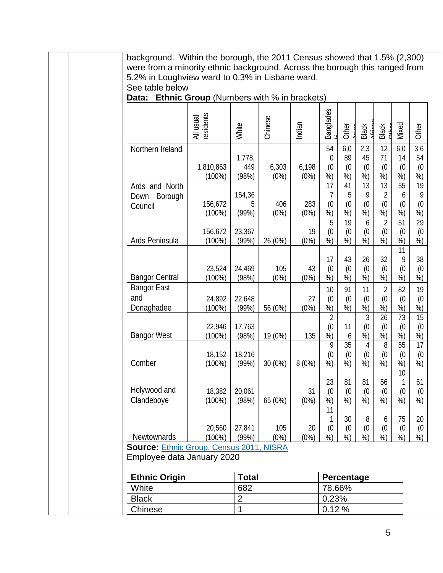background. Within the borough, the 2011 Census showed that 1.5% (2,300) were from a minority ethnic background. Across the borough this ranged from 5.2% in Loughview ward to 0.3% in Lisbane ward. See table below **Data: Ethnic Group** (Numbers with % in brackets) All usual<br>residents<br>White Chinese<br>Chinese Banglades<br><sub>hi</sub> **Other** Asian Black<br>African Black<br>Оньог Mixed Other Northern Ireland 1,810,863 (100%) 1,778, 449 (98%) 6,303 (0%) 6,198 (0%) 54  $\Omega$ (0 %) 6,0 89 (0 %) 2,3 45 (0 %) 12 71 (0 %) 6,0 14 (0 %) 3,6 54 (0 %) Ards and North Down Borough Council 156,672 (100%) 154,36 5 (99%) 406 (0%) 283 (0%) 17 7 (0 %) 41 5 (0 %) 13 9 (0 %) 13 2 (0 %) 55 6 (0 %) 19 9 (0 %) Ards Peninsula 156,672 (100%) 23,367 (99%) 26 (0%) 19 (0%) 5 (0 %) 19 (0 %) 6 (0 %) 2 (0 %) 51 (0 %) 29 (0 %) Bangor Central 23,524 (100%) 24,469 (98%) 105 (0%) 43 (0%) 17 (0 %) 43 (0 %) 26 (0 %) 32 (0 %) 11 9 (0 %) 38 (0 %) Bangor East and Donaghadee 24,892 (100%) 22,648 (99%) 56 (0%) 27 (0%) 10 (0 %) 91 (0 %) 11 (0 %) 2 (0 %) 82 (0 %) 19 (0 %) Bangor West 22,946 (100%) 17,763 (98%) 19 (0%) 135 2 (0 %) 11 6 3 (0 %) 26 (0 %) 73 (0 %) 15 (0 %) Comber 18,152 (100%) 18,216  $(99\%)$  30 (0%) 8 (0%)  $\overline{9}$ (0 %) 35 (0 %) 4 (0 %) 8 (0 %) 55 (0 %) 17 (0 %) Holywood and Clandeboye 18,382 (100%) 20,061 (98%) 65 (0%) 31 (0%) 23 (0 %) 81 (0 %) 81 (0 %) 56 (0 %) 10 1 (0 %) 61 (0 %) Newtownards 20,560 (100%) 27,841 (99%) 105 (0%) 20 (0%) 11 1 (0 %) 30 (0 %) 8 (0 %) 6 (0 %) 75 (0 %) 20 (0 %) **Source:** [Ethnic Group, Census](http://www.ninis2.nisra.gov.uk/public/PivotGrid.aspx?ds=7468&lh=38&yn=2011&sk=136&sn=Census%202011&yearfilter=) 2011, NISRA Employee data January 2020 **Ethnic Origin Total Percentage** White  $|682 \t\t |78.66\%$ Black 2 2 0.23% Chinese 1 1 0.12 %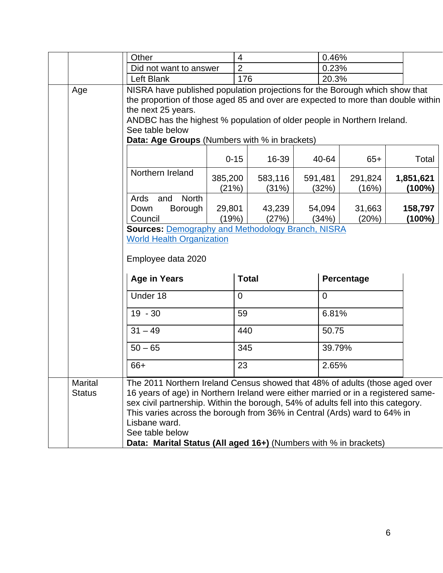|                                 | Other                                                                                                                                                                                                                                                                                                                                                                                                                                     | $\overline{4}$ |                  |                  | 0.46%    |                  |                                                                             |  |                        |
|---------------------------------|-------------------------------------------------------------------------------------------------------------------------------------------------------------------------------------------------------------------------------------------------------------------------------------------------------------------------------------------------------------------------------------------------------------------------------------------|----------------|------------------|------------------|----------|------------------|-----------------------------------------------------------------------------|--|------------------------|
|                                 | Did not want to answer                                                                                                                                                                                                                                                                                                                                                                                                                    |                | $\overline{2}$   |                  |          | 0.23%            |                                                                             |  |                        |
|                                 | Left Blank                                                                                                                                                                                                                                                                                                                                                                                                                                |                | 176              |                  |          | 20.3%            |                                                                             |  |                        |
| Age                             | the proportion of those aged 85 and over are expected to more than double within<br>the next 25 years.<br>ANDBC has the highest % population of older people in Northern Ireland.<br>See table below<br>Data: Age Groups (Numbers with % in brackets)<br>Northern Ireland                                                                                                                                                                 |                |                  |                  |          |                  | NISRA have published population projections for the Borough which show that |  |                        |
|                                 |                                                                                                                                                                                                                                                                                                                                                                                                                                           |                | $0 - 15$         | 16-39            |          | 40-64            | $65+$                                                                       |  | Total                  |
|                                 |                                                                                                                                                                                                                                                                                                                                                                                                                                           |                | 385,200<br>(21%) | 583,116<br>(31%) |          | 591,481<br>(32%) | 291,824<br>(16%)                                                            |  | 1,851,621<br>$(100\%)$ |
|                                 | <b>North</b><br>Ards<br>and<br>Down<br>Borough<br>Council                                                                                                                                                                                                                                                                                                                                                                                 |                | 29,801<br>(19%)  | 43,239<br>(27%)  |          | 54,094<br>(34%)  | 31,663<br>(20%)                                                             |  | 158,797<br>$(100\%)$   |
|                                 | <b>Sources: Demography and Methodology Branch, NISRA</b><br><b>World Health Organization</b><br>Employee data 2020                                                                                                                                                                                                                                                                                                                        |                |                  |                  |          |                  |                                                                             |  |                        |
|                                 | <b>Age in Years</b>                                                                                                                                                                                                                                                                                                                                                                                                                       |                | <b>Total</b>     |                  |          | Percentage       |                                                                             |  |                        |
|                                 | Under 18                                                                                                                                                                                                                                                                                                                                                                                                                                  |                | $\overline{0}$   |                  | $\Omega$ |                  |                                                                             |  |                        |
|                                 | $19 - 30$                                                                                                                                                                                                                                                                                                                                                                                                                                 |                | 59               |                  |          | 6.81%            |                                                                             |  |                        |
|                                 | $31 - 49$                                                                                                                                                                                                                                                                                                                                                                                                                                 |                | 440              |                  |          | 50.75            |                                                                             |  |                        |
|                                 | $50 - 65$                                                                                                                                                                                                                                                                                                                                                                                                                                 |                | 345              |                  |          | 39.79%           |                                                                             |  |                        |
|                                 | 66+                                                                                                                                                                                                                                                                                                                                                                                                                                       |                | 23               |                  |          | 2.65%            |                                                                             |  |                        |
| <b>Marital</b><br><b>Status</b> | The 2011 Northern Ireland Census showed that 48% of adults (those aged over<br>16 years of age) in Northern Ireland were either married or in a registered same-<br>sex civil partnership. Within the borough, 54% of adults fell into this category.<br>This varies across the borough from 36% in Central (Ards) ward to 64% in<br>Lisbane ward.<br>See table below<br>Data: Marital Status (All aged 16+) (Numbers with % in brackets) |                |                  |                  |          |                  |                                                                             |  |                        |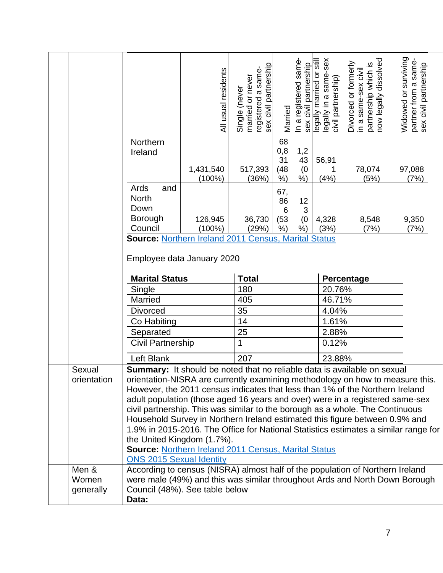|                       |                                                                                                                                                                  | All usual residents                                                         | registered a same-<br>sex civil partnership<br>married or never<br>Single (never | Married       | In a registered same<br>sex civil partnership | legally married or still<br>legally in a same-sex<br>civil partnership) | partnership which is<br>now legally dissolved<br>Divorced or formerly<br>in a same-sex civil | Widowed or surviving<br>partner from a same-<br>sex civil partnership |  |
|-----------------------|------------------------------------------------------------------------------------------------------------------------------------------------------------------|-----------------------------------------------------------------------------|----------------------------------------------------------------------------------|---------------|-----------------------------------------------|-------------------------------------------------------------------------|----------------------------------------------------------------------------------------------|-----------------------------------------------------------------------|--|
|                       | Northern                                                                                                                                                         |                                                                             |                                                                                  | 68            |                                               |                                                                         |                                                                                              |                                                                       |  |
|                       | Ireland                                                                                                                                                          |                                                                             |                                                                                  | 0,8           | 1,2                                           |                                                                         |                                                                                              |                                                                       |  |
|                       |                                                                                                                                                                  |                                                                             |                                                                                  | 31            | 43                                            | 56,91                                                                   |                                                                                              |                                                                       |  |
|                       |                                                                                                                                                                  | 1,431,540<br>$(100\%)$                                                      | 517,393<br>(36%)                                                                 | (48)<br>$%$ ) | (0)<br>$%$ )                                  | 1<br>(4% )                                                              | 78,074<br>(5%)                                                                               | 97,088<br>(7%)                                                        |  |
|                       | Ards<br>and                                                                                                                                                      |                                                                             |                                                                                  | 67,           |                                               |                                                                         |                                                                                              |                                                                       |  |
|                       | <b>North</b>                                                                                                                                                     |                                                                             |                                                                                  | 86            | 12                                            |                                                                         |                                                                                              |                                                                       |  |
|                       | Down                                                                                                                                                             |                                                                             |                                                                                  | 6             | 3                                             |                                                                         |                                                                                              |                                                                       |  |
|                       | <b>Borough</b><br>Council                                                                                                                                        | 126,945<br>$(100\%)$                                                        | 36,730<br>(29%)                                                                  | (53)<br>$%$ ) | (0)<br>$%$ )                                  | 4,328<br>(3%)                                                           | 8,548<br>(7%)                                                                                | 9,350<br>(7%)                                                         |  |
|                       | Source: Northern Ireland 2011 Census, Marital Status                                                                                                             |                                                                             |                                                                                  |               |                                               |                                                                         |                                                                                              |                                                                       |  |
|                       |                                                                                                                                                                  |                                                                             |                                                                                  |               |                                               |                                                                         |                                                                                              |                                                                       |  |
|                       | Employee data January 2020                                                                                                                                       |                                                                             |                                                                                  |               |                                               |                                                                         |                                                                                              |                                                                       |  |
|                       |                                                                                                                                                                  |                                                                             |                                                                                  |               |                                               |                                                                         |                                                                                              |                                                                       |  |
|                       | <b>Marital Status</b>                                                                                                                                            |                                                                             | <b>Total</b>                                                                     |               |                                               |                                                                         | Percentage                                                                                   |                                                                       |  |
|                       | Single<br>Married                                                                                                                                                |                                                                             | 180<br>405                                                                       |               |                                               |                                                                         | 20.76%<br>46.71%                                                                             |                                                                       |  |
|                       | <b>Divorced</b>                                                                                                                                                  |                                                                             | 35                                                                               |               |                                               |                                                                         | 4.04%                                                                                        |                                                                       |  |
|                       | Co Habiting                                                                                                                                                      |                                                                             | 14                                                                               |               |                                               |                                                                         | 1.61%                                                                                        |                                                                       |  |
|                       | Separated                                                                                                                                                        |                                                                             | 25                                                                               |               |                                               | 2.88%                                                                   |                                                                                              |                                                                       |  |
|                       | Civil Partnership                                                                                                                                                |                                                                             | 1                                                                                |               |                                               | 0.12%                                                                   |                                                                                              |                                                                       |  |
|                       |                                                                                                                                                                  |                                                                             | 207                                                                              |               |                                               |                                                                         |                                                                                              |                                                                       |  |
|                       | Left Blank                                                                                                                                                       |                                                                             |                                                                                  |               |                                               | 23.88%                                                                  |                                                                                              |                                                                       |  |
| Sexual<br>orientation | <b>Summary:</b> It should be noted that no reliable data is available on sexual<br>orientation-NISRA are currently examining methodology on how to measure this. |                                                                             |                                                                                  |               |                                               |                                                                         |                                                                                              |                                                                       |  |
|                       | However, the 2011 census indicates that less than 1% of the Northern Ireland                                                                                     |                                                                             |                                                                                  |               |                                               |                                                                         |                                                                                              |                                                                       |  |
|                       |                                                                                                                                                                  |                                                                             |                                                                                  |               |                                               |                                                                         |                                                                                              |                                                                       |  |
|                       | adult population (those aged 16 years and over) were in a registered same-sex<br>civil partnership. This was similar to the borough as a whole. The Continuous   |                                                                             |                                                                                  |               |                                               |                                                                         |                                                                                              |                                                                       |  |
|                       |                                                                                                                                                                  | Household Survey in Northern Ireland estimated this figure between 0.9% and |                                                                                  |               |                                               |                                                                         |                                                                                              |                                                                       |  |
|                       |                                                                                                                                                                  |                                                                             |                                                                                  |               |                                               |                                                                         |                                                                                              |                                                                       |  |
|                       | 1.9% in 2015-2016. The Office for National Statistics estimates a similar range for                                                                              |                                                                             |                                                                                  |               |                                               |                                                                         |                                                                                              |                                                                       |  |
|                       | the United Kingdom (1.7%).                                                                                                                                       |                                                                             |                                                                                  |               |                                               |                                                                         |                                                                                              |                                                                       |  |
|                       | <b>Source: Northern Ireland 2011 Census, Marital Status</b>                                                                                                      |                                                                             |                                                                                  |               |                                               |                                                                         |                                                                                              |                                                                       |  |
|                       | <b>ONS 2015 Sexual Identity</b>                                                                                                                                  |                                                                             |                                                                                  |               |                                               |                                                                         |                                                                                              |                                                                       |  |
| Men &                 | According to census (NISRA) almost half of the population of Northern Ireland                                                                                    |                                                                             |                                                                                  |               |                                               |                                                                         |                                                                                              |                                                                       |  |
| Women<br>generally    | were male (49%) and this was similar throughout Ards and North Down Borough<br>Council (48%). See table below                                                    |                                                                             |                                                                                  |               |                                               |                                                                         |                                                                                              |                                                                       |  |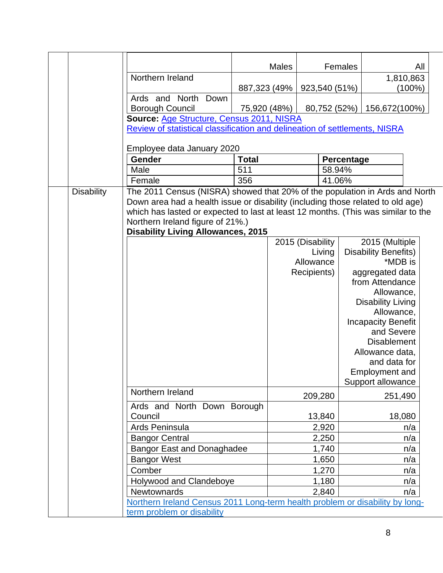|                   |                                                                                                                                                                      | <b>Males</b> |                  | Females           |                                  | All       |
|-------------------|----------------------------------------------------------------------------------------------------------------------------------------------------------------------|--------------|------------------|-------------------|----------------------------------|-----------|
|                   | Northern Ireland                                                                                                                                                     |              |                  |                   | 1,810,863                        |           |
|                   |                                                                                                                                                                      | 887,323 (49% | 923,540 (51%)    |                   |                                  | $(100\%)$ |
|                   | Ards and North<br>Down                                                                                                                                               |              |                  |                   |                                  |           |
|                   | <b>Borough Council</b>                                                                                                                                               | 75,920 (48%) | 80,752 (52%)     |                   | 156,672(100%)                    |           |
|                   | Source: Age Structure, Census 2011, NISRA                                                                                                                            |              |                  |                   |                                  |           |
|                   | Review of statistical classification and delineation of settlements, NISRA                                                                                           |              |                  |                   |                                  |           |
|                   |                                                                                                                                                                      |              |                  |                   |                                  |           |
|                   | Employee data January 2020                                                                                                                                           |              |                  |                   |                                  |           |
|                   | Gender                                                                                                                                                               | <b>Total</b> |                  | <b>Percentage</b> |                                  |           |
|                   | Male                                                                                                                                                                 | 511          | 58.94%           |                   |                                  |           |
|                   | Female                                                                                                                                                               | 356          | 41.06%           |                   |                                  |           |
| <b>Disability</b> | The 2011 Census (NISRA) showed that 20% of the population in Ards and North                                                                                          |              |                  |                   |                                  |           |
|                   | Down area had a health issue or disability (including those related to old age)<br>which has lasted or expected to last at least 12 months. (This was similar to the |              |                  |                   |                                  |           |
|                   | Northern Ireland figure of 21%.)                                                                                                                                     |              |                  |                   |                                  |           |
|                   | <b>Disability Living Allowances, 2015</b>                                                                                                                            |              |                  |                   |                                  |           |
|                   |                                                                                                                                                                      |              | 2015 (Disability |                   | 2015 (Multiple                   |           |
|                   |                                                                                                                                                                      |              | Living           |                   | <b>Disability Benefits)</b>      |           |
|                   |                                                                                                                                                                      |              | Allowance        |                   | *MDB is                          |           |
|                   |                                                                                                                                                                      |              | Recipients)      |                   | aggregated data                  |           |
|                   |                                                                                                                                                                      |              |                  |                   | from Attendance                  |           |
|                   |                                                                                                                                                                      |              |                  |                   | Allowance,                       |           |
|                   |                                                                                                                                                                      |              |                  |                   | <b>Disability Living</b>         |           |
|                   |                                                                                                                                                                      |              |                  |                   | Allowance,                       |           |
|                   |                                                                                                                                                                      |              |                  |                   | <b>Incapacity Benefit</b>        |           |
|                   |                                                                                                                                                                      |              |                  |                   | and Severe<br><b>Disablement</b> |           |
|                   |                                                                                                                                                                      |              |                  |                   | Allowance data,                  |           |
|                   |                                                                                                                                                                      |              |                  |                   | and data for                     |           |
|                   |                                                                                                                                                                      |              |                  |                   | <b>Employment and</b>            |           |
|                   |                                                                                                                                                                      |              |                  |                   | Support allowance                |           |
|                   | Northern Ireland                                                                                                                                                     |              | 209,280          |                   | 251,490                          |           |
|                   | Ards and North Down Borough                                                                                                                                          |              |                  |                   |                                  |           |
|                   | Council                                                                                                                                                              |              | 13,840           |                   | 18,080                           |           |
|                   | Ards Peninsula                                                                                                                                                       |              | 2,920            |                   |                                  | n/a       |
|                   | <b>Bangor Central</b>                                                                                                                                                |              | 2,250            |                   |                                  | n/a       |
|                   | <b>Bangor East and Donaghadee</b>                                                                                                                                    |              | 1,740            |                   |                                  | n/a       |
|                   | <b>Bangor West</b>                                                                                                                                                   |              | 1,650            |                   |                                  | n/a       |
|                   | Comber                                                                                                                                                               |              | 1,270            |                   |                                  | n/a       |
|                   | Holywood and Clandeboye                                                                                                                                              |              | 1,180            |                   |                                  | n/a       |
|                   | Newtownards                                                                                                                                                          |              | 2,840            |                   |                                  | n/a       |
|                   | Northern Ireland Census 2011 Long-term health problem or disability by long-                                                                                         |              |                  |                   |                                  |           |
|                   | term problem or disability                                                                                                                                           |              |                  |                   |                                  |           |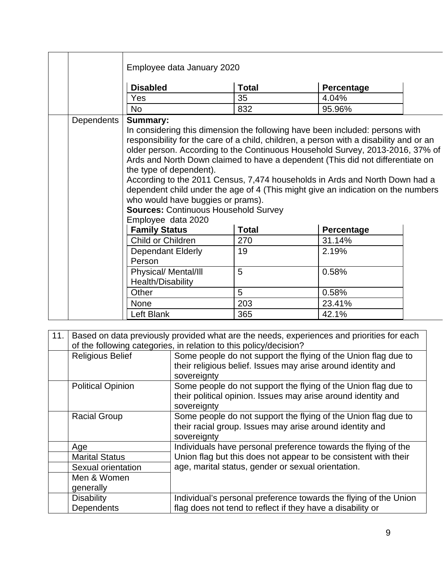|                   | Employee data January 2020                                                                                                                                                                                                                                                                                                                                                                                                                                                                                                                                                                                                                                           |              |            |  |  |  |  |  |  |
|-------------------|----------------------------------------------------------------------------------------------------------------------------------------------------------------------------------------------------------------------------------------------------------------------------------------------------------------------------------------------------------------------------------------------------------------------------------------------------------------------------------------------------------------------------------------------------------------------------------------------------------------------------------------------------------------------|--------------|------------|--|--|--|--|--|--|
|                   | <b>Disabled</b>                                                                                                                                                                                                                                                                                                                                                                                                                                                                                                                                                                                                                                                      | Percentage   |            |  |  |  |  |  |  |
|                   | Yes                                                                                                                                                                                                                                                                                                                                                                                                                                                                                                                                                                                                                                                                  | 35           | 4.04%      |  |  |  |  |  |  |
|                   | <b>No</b>                                                                                                                                                                                                                                                                                                                                                                                                                                                                                                                                                                                                                                                            | 832          | 95.96%     |  |  |  |  |  |  |
| <b>Dependents</b> | <b>Summary:</b><br>In considering this dimension the following have been included: persons with<br>responsibility for the care of a child, children, a person with a disability and or an<br>older person. According to the Continuous Household Survey, 2013-2016, 37% of<br>Ards and North Down claimed to have a dependent (This did not differentiate on<br>the type of dependent).<br>According to the 2011 Census, 7,474 households in Ards and North Down had a<br>dependent child under the age of 4 (This might give an indication on the numbers<br>who would have buggies or prams).<br><b>Sources: Continuous Household Survey</b><br>Employee data 2020 |              |            |  |  |  |  |  |  |
|                   | <b>Family Status</b>                                                                                                                                                                                                                                                                                                                                                                                                                                                                                                                                                                                                                                                 | <b>Total</b> | Percentage |  |  |  |  |  |  |
|                   | Child or Children                                                                                                                                                                                                                                                                                                                                                                                                                                                                                                                                                                                                                                                    | 270          | 31.14%     |  |  |  |  |  |  |
|                   | Dependant Elderly<br>Person                                                                                                                                                                                                                                                                                                                                                                                                                                                                                                                                                                                                                                          | 19           | 2.19%      |  |  |  |  |  |  |
|                   | Physical/ Mental/III<br>Health/Disability                                                                                                                                                                                                                                                                                                                                                                                                                                                                                                                                                                                                                            | 5            | 0.58%      |  |  |  |  |  |  |
|                   | Other                                                                                                                                                                                                                                                                                                                                                                                                                                                                                                                                                                                                                                                                | 5            | 0.58%      |  |  |  |  |  |  |
|                   | 203<br>23.41%<br><b>None</b>                                                                                                                                                                                                                                                                                                                                                                                                                                                                                                                                                                                                                                         |              |            |  |  |  |  |  |  |
|                   | Left Blank                                                                                                                                                                                                                                                                                                                                                                                                                                                                                                                                                                                                                                                           | 365          | 42.1%      |  |  |  |  |  |  |

| 11. | Based on data previously provided what are the needs, experiences and priorities for each<br>of the following categories, in relation to this policy/decision? |                                                                                                                                |  |
|-----|----------------------------------------------------------------------------------------------------------------------------------------------------------------|--------------------------------------------------------------------------------------------------------------------------------|--|
|     | <b>Religious Belief</b>                                                                                                                                        | Some people do not support the flying of the Union flag due to<br>their religious belief. Issues may arise around identity and |  |
|     |                                                                                                                                                                | sovereignty                                                                                                                    |  |
|     | <b>Political Opinion</b>                                                                                                                                       | Some people do not support the flying of the Union flag due to                                                                 |  |
|     |                                                                                                                                                                | their political opinion. Issues may arise around identity and<br>sovereignty                                                   |  |
|     | <b>Racial Group</b>                                                                                                                                            | Some people do not support the flying of the Union flag due to                                                                 |  |
|     |                                                                                                                                                                | their racial group. Issues may arise around identity and<br>sovereignty                                                        |  |
|     | Age                                                                                                                                                            | Individuals have personal preference towards the flying of the                                                                 |  |
|     | <b>Marital Status</b>                                                                                                                                          | Union flag but this does not appear to be consistent with their                                                                |  |
|     | Sexual orientation                                                                                                                                             | age, marital status, gender or sexual orientation.                                                                             |  |
|     | Men & Women                                                                                                                                                    |                                                                                                                                |  |
|     | generally                                                                                                                                                      |                                                                                                                                |  |
|     | <b>Disability</b>                                                                                                                                              | Individual's personal preference towards the flying of the Union                                                               |  |
|     | <b>Dependents</b>                                                                                                                                              | flag does not tend to reflect if they have a disability or                                                                     |  |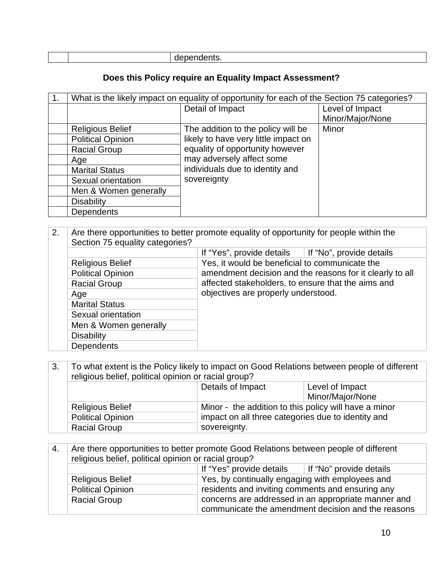|  | _ _ _ |
|--|-------|
|  |       |

## **Does this Policy require an Equality Impact Assessment?**

| 1. | What is the likely impact on equality of opportunity for each of the Section 75 categories? |                                      |                  |
|----|---------------------------------------------------------------------------------------------|--------------------------------------|------------------|
|    |                                                                                             | Detail of Impact                     | Level of Impact  |
|    |                                                                                             |                                      | Minor/Major/None |
|    | <b>Religious Belief</b>                                                                     | The addition to the policy will be   | Minor            |
|    | <b>Political Opinion</b>                                                                    | likely to have very little impact on |                  |
|    | <b>Racial Group</b>                                                                         | equality of opportunity however      |                  |
|    | Age                                                                                         | may adversely affect some            |                  |
|    | <b>Marital Status</b>                                                                       | individuals due to identity and      |                  |
|    | Sexual orientation                                                                          | sovereignty                          |                  |
|    | Men & Women generally                                                                       |                                      |                  |
|    | <b>Disability</b>                                                                           |                                      |                  |
|    | Dependents                                                                                  |                                      |                  |

| 2. | Are there opportunities to better promote equality of opportunity for people within the<br>Section 75 equality categories? |                                                          |  |
|----|----------------------------------------------------------------------------------------------------------------------------|----------------------------------------------------------|--|
|    |                                                                                                                            | If "No", provide details<br>If "Yes", provide details    |  |
|    | <b>Religious Belief</b>                                                                                                    | Yes, it would be beneficial to communicate the           |  |
|    | <b>Political Opinion</b>                                                                                                   | amendment decision and the reasons for it clearly to all |  |
|    | <b>Racial Group</b>                                                                                                        | affected stakeholders, to ensure that the aims and       |  |
|    | Age                                                                                                                        | objectives are properly understood.                      |  |
|    | <b>Marital Status</b>                                                                                                      |                                                          |  |
|    | Sexual orientation                                                                                                         |                                                          |  |
|    | Men & Women generally                                                                                                      |                                                          |  |
|    | <b>Disability</b>                                                                                                          |                                                          |  |
|    | <b>Dependents</b>                                                                                                          |                                                          |  |

| 3. | To what extent is the Policy likely to impact on Good Relations between people of different<br>religious belief, political opinion or racial group? |                                                       |                  |
|----|-----------------------------------------------------------------------------------------------------------------------------------------------------|-------------------------------------------------------|------------------|
|    |                                                                                                                                                     | Details of Impact                                     | Level of Impact  |
|    |                                                                                                                                                     |                                                       | Minor/Major/None |
|    | <b>Religious Belief</b>                                                                                                                             | Minor - the addition to this policy will have a minor |                  |
|    | <b>Political Opinion</b>                                                                                                                            | impact on all three categories due to identity and    |                  |
|    | <b>Racial Group</b>                                                                                                                                 | sovereignty.                                          |                  |

| 4. | Are there opportunities to better promote Good Relations between people of different |                                                  |                                                     |  |
|----|--------------------------------------------------------------------------------------|--------------------------------------------------|-----------------------------------------------------|--|
|    | religious belief, political opinion or racial group?                                 |                                                  |                                                     |  |
|    | If "Yes" provide details<br>If "No" provide details                                  |                                                  |                                                     |  |
|    | <b>Religious Belief</b>                                                              | Yes, by continually engaging with employees and  |                                                     |  |
|    | <b>Political Opinion</b>                                                             | residents and inviting comments and ensuring any |                                                     |  |
|    | <b>Racial Group</b>                                                                  |                                                  | concerns are addressed in an appropriate manner and |  |
|    |                                                                                      |                                                  | communicate the amendment decision and the reasons  |  |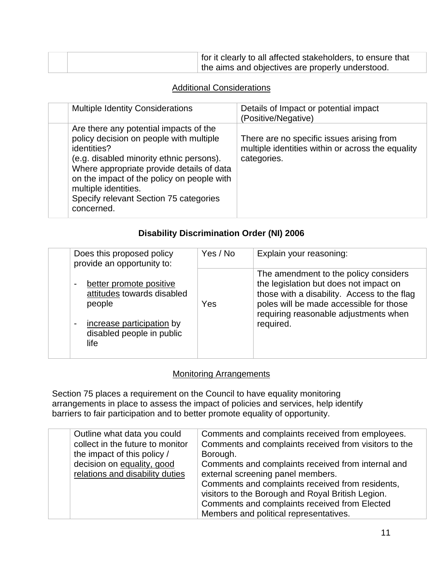|  | for it clearly to all affected stakeholders, to ensure that |
|--|-------------------------------------------------------------|
|  | the aims and objectives are properly understood.            |

#### Additional Considerations

| <b>Multiple Identity Considerations</b>                                                                                                                                                                                                                                                                                 | Details of Impact or potential impact<br>(Positive/Negative)                                                  |
|-------------------------------------------------------------------------------------------------------------------------------------------------------------------------------------------------------------------------------------------------------------------------------------------------------------------------|---------------------------------------------------------------------------------------------------------------|
| Are there any potential impacts of the<br>policy decision on people with multiple<br>identities?<br>(e.g. disabled minority ethnic persons).<br>Where appropriate provide details of data<br>on the impact of the policy on people with<br>multiple identities.<br>Specify relevant Section 75 categories<br>concerned. | There are no specific issues arising from<br>multiple identities within or across the equality<br>categories. |

### **Disability Discrimination Order (NI) 2006**

| Does this proposed policy<br>provide an opportunity to:                                                                                                                                   | Yes / No | Explain your reasoning:                                                                                                                                                                                                         |
|-------------------------------------------------------------------------------------------------------------------------------------------------------------------------------------------|----------|---------------------------------------------------------------------------------------------------------------------------------------------------------------------------------------------------------------------------------|
| better promote positive<br>$\overline{\phantom{a}}$<br>attitudes towards disabled<br>people<br>increase participation by<br>$\overline{\phantom{a}}$<br>disabled people in public<br>life | Yes      | The amendment to the policy considers<br>the legislation but does not impact on<br>those with a disability. Access to the flag<br>poles will be made accessible for those<br>requiring reasonable adjustments when<br>required. |

#### Monitoring Arrangements

Section 75 places a requirement on the Council to have equality monitoring arrangements in place to assess the impact of policies and services, help identify barriers to fair participation and to better promote equality of opportunity.

| Outline what data you could<br>collect in the future to monitor<br>the impact of this policy /<br>decision on equality, good<br>relations and disability duties | Comments and complaints received from employees.<br>Comments and complaints received from visitors to the<br>Borough.<br>Comments and complaints received from internal and<br>external screening panel members.<br>Comments and complaints received from residents, |
|-----------------------------------------------------------------------------------------------------------------------------------------------------------------|----------------------------------------------------------------------------------------------------------------------------------------------------------------------------------------------------------------------------------------------------------------------|
|                                                                                                                                                                 | visitors to the Borough and Royal British Legion.                                                                                                                                                                                                                    |
|                                                                                                                                                                 | Comments and complaints received from Elected                                                                                                                                                                                                                        |
|                                                                                                                                                                 | Members and political representatives.                                                                                                                                                                                                                               |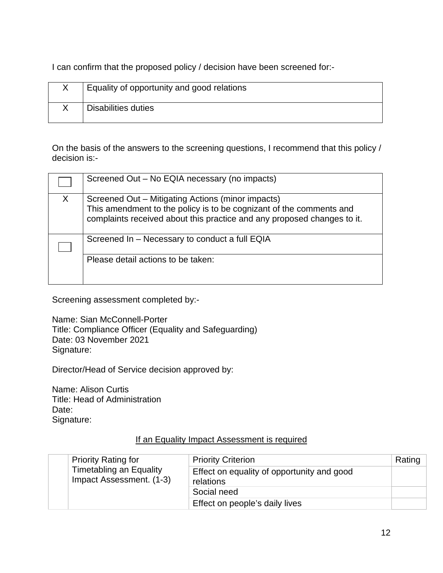I can confirm that the proposed policy / decision have been screened for:-

| Equality of opportunity and good relations |
|--------------------------------------------|
| <b>Disabilities duties</b>                 |

On the basis of the answers to the screening questions, I recommend that this policy / decision is:-

|    | Screened Out - No EQIA necessary (no impacts)                                                                                                                                                       |
|----|-----------------------------------------------------------------------------------------------------------------------------------------------------------------------------------------------------|
| X. | Screened Out – Mitigating Actions (minor impacts)<br>This amendment to the policy is to be cognizant of the comments and<br>complaints received about this practice and any proposed changes to it. |
|    | Screened In - Necessary to conduct a full EQIA                                                                                                                                                      |
|    | Please detail actions to be taken:                                                                                                                                                                  |

Screening assessment completed by:-

Name: Sian McConnell-Porter Title: Compliance Officer (Equality and Safeguarding) Date: 03 November 2021 Signature:

Director/Head of Service decision approved by:

Name: Alison Curtis Title: Head of Administration Date: Signature:

#### If an Equality Impact Assessment is required

|  | <b>Priority Rating for</b>                                 | <b>Priority Criterion</b>                               | Rating |
|--|------------------------------------------------------------|---------------------------------------------------------|--------|
|  | <b>Timetabling an Equality</b><br>Impact Assessment. (1-3) | Effect on equality of opportunity and good<br>relations |        |
|  |                                                            | Social need                                             |        |
|  |                                                            | Effect on people's daily lives                          |        |